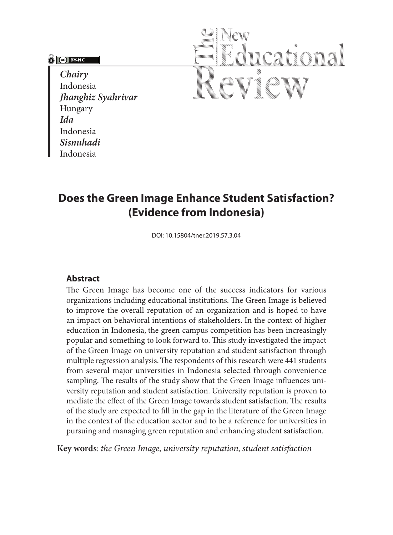### **PO BY-NC**

*Chairy* Indonesia *Jhanghiz Syahrivar* Hungary *Ida*  Indonesia *Sisnuhadi* Indonesia



# **Does the Green Image Enhance Student Satisfaction? (Evidence from Indonesia)**

DOI: 10.15804/tner.2019.57.3.04

#### **Abstract**

The Green Image has become one of the success indicators for various organizations including educational institutions. The Green Image is believed to improve the overall reputation of an organization and is hoped to have an impact on behavioral intentions of stakeholders. In the context of higher education in Indonesia, the green campus competition has been increasingly popular and something to look forward to. This study investigated the impact of the Green Image on university reputation and student satisfaction through multiple regression analysis. The respondents of this research were 441 students from several major universities in Indonesia selected through convenience sampling. The results of the study show that the Green Image influences university reputation and student satisfaction. University reputation is proven to mediate the effect of the Green Image towards student satisfaction. The results of the study are expected to fill in the gap in the literature of the Green Image in the context of the education sector and to be a reference for universities in pursuing and managing green reputation and enhancing student satisfaction.

**Key words**: *the Green Image, university reputation, student satisfaction*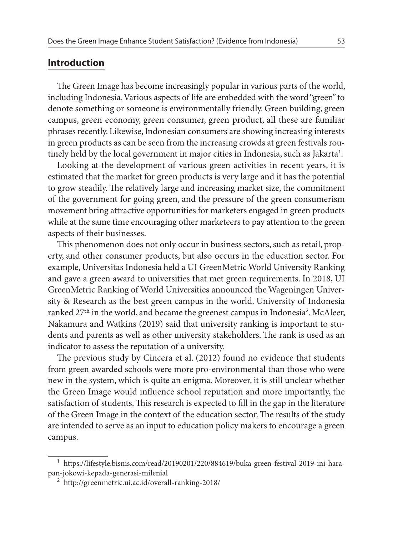## **Introduction**

The Green Image has become increasingly popular in various parts of the world, including Indonesia. Various aspects of life are embedded with the word "green" to denote something or someone is environmentally friendly. Green building, green campus, green economy, green consumer, green product, all these are familiar phrases recently. Likewise, Indonesian consumers are showing increasing interests in green products as can be seen from the increasing crowds at green festivals routinely held by the local government in major cities in Indonesia, such as Jakarta<sup>1</sup>.

Looking at the development of various green activities in recent years, it is estimated that the market for green products is very large and it has the potential to grow steadily. The relatively large and increasing market size, the commitment of the government for going green, and the pressure of the green consumerism movement bring attractive opportunities for marketers engaged in green products while at the same time encouraging other marketeers to pay attention to the green aspects of their businesses.

This phenomenon does not only occur in business sectors, such as retail, property, and other consumer products, but also occurs in the education sector. For example, Universitas Indonesia held a UI GreenMetric World University Ranking and gave a green award to universities that met green requirements. In 2018, UI GreenMetric Ranking of World Universities announced the Wageningen University & Research as the best green campus in the world. University of Indonesia ranked 27<sup>th</sup> in the world, and became the greenest campus in Indonesia<sup>2</sup>. McAleer, Nakamura and Watkins (2019) said that university ranking is important to students and parents as well as other university stakeholders. The rank is used as an indicator to assess the reputation of a university.

The previous study by Cincera et al. (2012) found no evidence that students from green awarded schools were more pro-environmental than those who were new in the system, which is quite an enigma. Moreover, it is still unclear whether the Green Image would influence school reputation and more importantly, the satisfaction of students. This research is expected to fill in the gap in the literature of the Green Image in the context of the education sector. The results of the study are intended to serve as an input to education policy makers to encourage a green campus.

<sup>1</sup> https://lifestyle.bisnis.com/read/20190201/220/884619/buka-green-festival-2019-ini-harapan-jokowi-kepada-generasi-milenial

<sup>2</sup> http://greenmetric.ui.ac.id/overall-ranking-2018/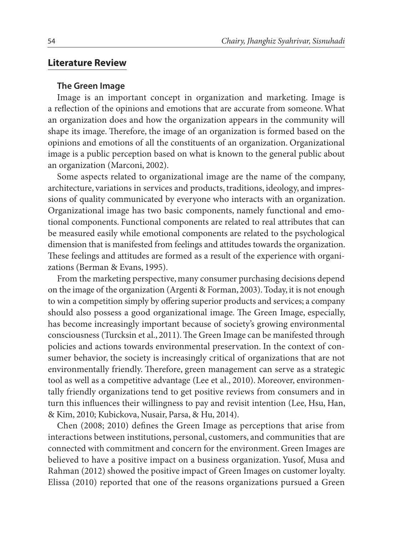### **Literature Review**

#### **The Green Image**

Image is an important concept in organization and marketing. Image is a reflection of the opinions and emotions that are accurate from someone. What an organization does and how the organization appears in the community will shape its image. Therefore, the image of an organization is formed based on the opinions and emotions of all the constituents of an organization. Organizational image is a public perception based on what is known to the general public about an organization (Marconi, 2002).

Some aspects related to organizational image are the name of the company, architecture, variations in services and products, traditions, ideology, and impressions of quality communicated by everyone who interacts with an organization. Organizational image has two basic components, namely functional and emotional components. Functional components are related to real attributes that can be measured easily while emotional components are related to the psychological dimension that is manifested from feelings and attitudes towards the organization. These feelings and attitudes are formed as a result of the experience with organizations (Berman & Evans, 1995).

From the marketing perspective, many consumer purchasing decisions depend on the image of the organization (Argenti & Forman, 2003). Today, it is not enough to win a competition simply by offering superior products and services; a company should also possess a good organizational image. The Green Image, especially, has become increasingly important because of society's growing environmental consciousness (Turcksin et al., 2011). The Green Image can be manifested through policies and actions towards environmental preservation. In the context of consumer behavior, the society is increasingly critical of organizations that are not environmentally friendly. Therefore, green management can serve as a strategic tool as well as a competitive advantage (Lee et al., 2010). Moreover, environmentally friendly organizations tend to get positive reviews from consumers and in turn this influences their willingness to pay and revisit intention (Lee, Hsu, Han, & Kim, 2010; Kubickova, Nusair, Parsa, & Hu, 2014).

Chen (2008; 2010) defines the Green Image as perceptions that arise from interactions between institutions, personal, customers, and communities that are connected with commitment and concern for the environment. Green Images are believed to have a positive impact on a business organization. Yusof, Musa and Rahman (2012) showed the positive impact of Green Images on customer loyalty. Elissa (2010) reported that one of the reasons organizations pursued a Green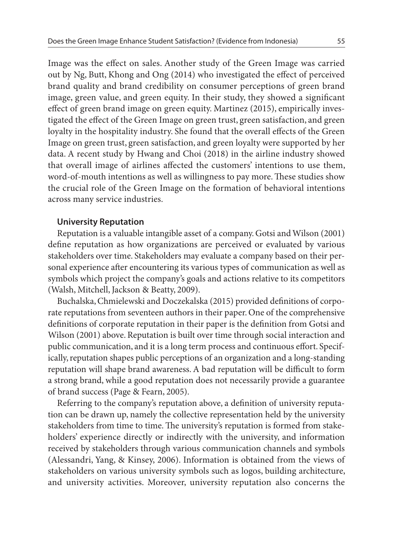Image was the effect on sales. Another study of the Green Image was carried out by Ng, Butt, Khong and Ong (2014) who investigated the effect of perceived brand quality and brand credibility on consumer perceptions of green brand image, green value, and green equity. In their study, they showed a significant effect of green brand image on green equity. Martinez (2015), empirically investigated the effect of the Green Image on green trust, green satisfaction, and green loyalty in the hospitality industry. She found that the overall effects of the Green Image on green trust, green satisfaction, and green loyalty were supported by her data. A recent study by Hwang and Choi (2018) in the airline industry showed that overall image of airlines affected the customers' intentions to use them, word-of-mouth intentions as well as willingness to pay more. These studies show the crucial role of the Green Image on the formation of behavioral intentions across many service industries.

#### **University Reputation**

Reputation is a valuable intangible asset of a company. Gotsi and Wilson (2001) define reputation as how organizations are perceived or evaluated by various stakeholders over time. Stakeholders may evaluate a company based on their personal experience after encountering its various types of communication as well as symbols which project the company's goals and actions relative to its competitors (Walsh, Mitchell, Jackson & Beatty, 2009).

Buchalska, Chmielewski and Doczekalska (2015) provided definitions of corporate reputations from seventeen authors in their paper. One of the comprehensive definitions of corporate reputation in their paper is the definition from Gotsi and Wilson (2001) above. Reputation is built over time through social interaction and public communication, and it is a long term process and continuous effort. Specifically, reputation shapes public perceptions of an organization and a long-standing reputation will shape brand awareness. A bad reputation will be difficult to form a strong brand, while a good reputation does not necessarily provide a guarantee of brand success (Page & Fearn, 2005).

Referring to the company's reputation above, a definition of university reputation can be drawn up, namely the collective representation held by the university stakeholders from time to time. The university's reputation is formed from stakeholders' experience directly or indirectly with the university, and information received by stakeholders through various communication channels and symbols (Alessandri, Yang, & Kinsey, 2006). Information is obtained from the views of stakeholders on various university symbols such as logos, building architecture, and university activities. Moreover, university reputation also concerns the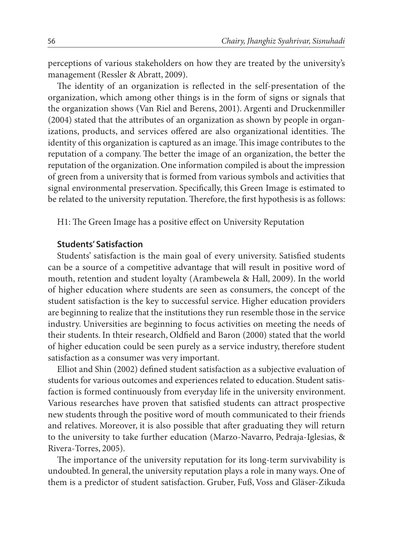perceptions of various stakeholders on how they are treated by the university's management (Ressler & Abratt, 2009).

The identity of an organization is reflected in the self-presentation of the organization, which among other things is in the form of signs or signals that the organization shows (Van Riel and Berens, 2001). Argenti and Druckenmiller (2004) stated that the attributes of an organization as shown by people in organizations, products, and services offered are also organizational identities. The identity of this organization is captured as an image. This image contributes to the reputation of a company. The better the image of an organization, the better the reputation of the organization. One information compiled is about the impression of green from a university that is formed from various symbols and activities that signal environmental preservation. Specifically, this Green Image is estimated to be related to the university reputation. Therefore, the first hypothesis is as follows:

H1: The Green Image has a positive effect on University Reputation

### **Students' Satisfaction**

Students' satisfaction is the main goal of every university. Satisfied students can be a source of a competitive advantage that will result in positive word of mouth, retention and student loyalty (Arambewela & Hall, 2009). In the world of higher education where students are seen as consumers, the concept of the student satisfaction is the key to successful service. Higher education providers are beginning to realize that the institutions they run resemble those in the service industry. Universities are beginning to focus activities on meeting the needs of their students. In thteir research, Oldfield and Baron (2000) stated that the world of higher education could be seen purely as a service industry, therefore student satisfaction as a consumer was very important.

Elliot and Shin (2002) defined student satisfaction as a subjective evaluation of students for various outcomes and experiences related to education. Student satisfaction is formed continuously from everyday life in the university environment. Various researches have proven that satisfied students can attract prospective new students through the positive word of mouth communicated to their friends and relatives. Moreover, it is also possible that after graduating they will return to the university to take further education (Marzo-Navarro, Pedraja-Iglesias, & Rivera-Torres, 2005).

The importance of the university reputation for its long-term survivability is undoubted. In general, the university reputation plays a role in many ways. One of them is a predictor of student satisfaction. Gruber, Fuß, Voss and Gläser-Zikuda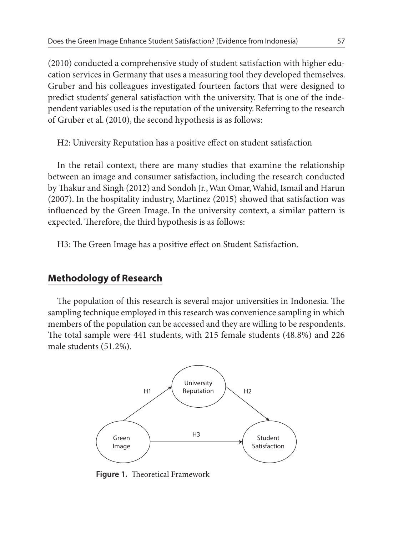(2010) conducted a comprehensive study of student satisfaction with higher education services in Germany that uses a measuring tool they developed themselves. Gruber and his colleagues investigated fourteen factors that were designed to predict students' general satisfaction with the university. That is one of the independent variables used is the reputation of the university. Referring to the research of Gruber et al. (2010), the second hypothesis is as follows:

H2: University Reputation has a positive effect on student satisfaction

In the retail context, there are many studies that examine the relationship between an image and consumer satisfaction, including the research conducted by Thakur and Singh (2012) and Sondoh Jr., Wan Omar, Wahid, Ismail and Harun (2007). In the hospitality industry, Martinez (2015) showed that satisfaction was influenced by the Green Image. In the university context, a similar pattern is expected. Therefore, the third hypothesis is as follows:

H3: The Green Image has a positive effect on Student Satisfaction.

# **Methodology of Research**

The population of this research is several major universities in Indonesia. The sampling technique employed in this research was convenience sampling in which members of the population can be accessed and they are willing to be respondents. The total sample were 441 students, with 215 female students (48.8%) and 226 male students (51.2%).



**Figure 1.** Theoretical Framework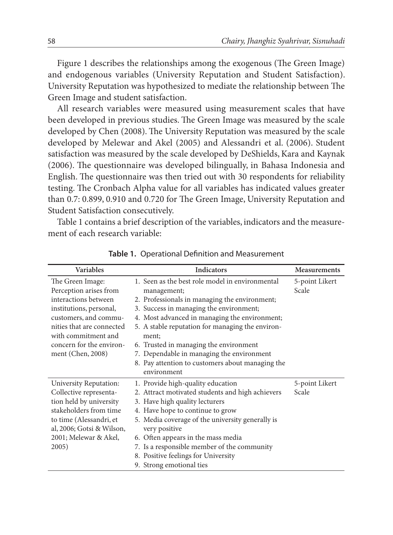Figure 1 describes the relationships among the exogenous (The Green Image) and endogenous variables (University Reputation and Student Satisfaction). University Reputation was hypothesized to mediate the relationship between The Green Image and student satisfaction.

All research variables were measured using measurement scales that have been developed in previous studies. The Green Image was measured by the scale developed by Chen (2008). The University Reputation was measured by the scale developed by Melewar and Akel (2005) and Alessandri et al. (2006). Student satisfaction was measured by the scale developed by DeShields, Kara and Kaynak (2006). The questionnaire was developed bilingually, in Bahasa Indonesia and English. The questionnaire was then tried out with 30 respondents for reliability testing. The Cronbach Alpha value for all variables has indicated values greater than 0.7: 0.899, 0.910 and 0.720 for The Green Image, University Reputation and Student Satisfaction consecutively.

Table 1 contains a brief description of the variables, indicators and the measurement of each research variable:

| <b>Variables</b>          | Indicators                                       | Measurements   |
|---------------------------|--------------------------------------------------|----------------|
| The Green Image:          | 1. Seen as the best role model in environmental  | 5-point Likert |
| Perception arises from    | management;                                      | Scale          |
| interactions between      | 2. Professionals in managing the environment;    |                |
| institutions, personal,   | 3. Success in managing the environment;          |                |
| customers, and commu-     | 4. Most advanced in managing the environment;    |                |
| nities that are connected | 5. A stable reputation for managing the environ- |                |
| with commitment and       | ment:                                            |                |
| concern for the environ-  | 6. Trusted in managing the environment           |                |
| ment (Chen, 2008)         | 7. Dependable in managing the environment        |                |
|                           | 8. Pay attention to customers about managing the |                |
|                           | environment                                      |                |
| University Reputation:    | 1. Provide high-quality education                | 5-point Likert |
| Collective representa-    | 2. Attract motivated students and high achievers | Scale          |
| tion held by university   | 3. Have high quality lecturers                   |                |
| stakeholders from time    | 4. Have hope to continue to grow                 |                |
| to time (Alessandri, et   | 5. Media coverage of the university generally is |                |
| al, 2006; Gotsi & Wilson, | very positive                                    |                |
| 2001; Melewar & Akel,     | 6. Often appears in the mass media               |                |
| 2005)                     | 7. Is a responsible member of the community      |                |
|                           | 8. Positive feelings for University              |                |
|                           | 9. Strong emotional ties                         |                |

**Table 1.** Operational Definition and Measurement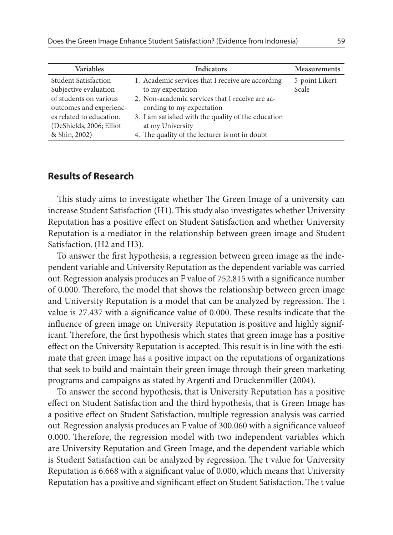| Variables                                                                                                                                                                           | <b>Indicators</b>                                                                                                                                                                                                                                                                   | Measurements            |
|-------------------------------------------------------------------------------------------------------------------------------------------------------------------------------------|-------------------------------------------------------------------------------------------------------------------------------------------------------------------------------------------------------------------------------------------------------------------------------------|-------------------------|
| <b>Student Satisfaction</b><br>Subjective evaluation<br>of students on various<br>outcomes and experienc-<br>es related to education.<br>(DeShields, 2006; Elliot)<br>& Shin, 2002) | 1. Academic services that I receive are according<br>to my expectation<br>2. Non-academic services that I receive are ac-<br>cording to my expectation<br>3. I am satisfied with the quality of the education<br>at my University<br>4. The quality of the lecturer is not in doubt | 5-point Likert<br>Scale |
|                                                                                                                                                                                     |                                                                                                                                                                                                                                                                                     |                         |

### **Results of Research**

This study aims to investigate whether The Green Image of a university can increase Student Satisfaction (H1). This study also investigates whether University Reputation has a positive effect on Student Satisfaction and whether University Reputation is a mediator in the relationship between green image and Student Satisfaction. (H2 and H3).

To answer the first hypothesis, a regression between green image as the independent variable and University Reputation as the dependent variable was carried out. Regression analysis produces an F value of 752.815 with a significance number of 0.000. Therefore, the model that shows the relationship between green image and University Reputation is a model that can be analyzed by regression. The t value is 27.437 with a significance value of 0.000. These results indicate that the influence of green image on University Reputation is positive and highly significant. Therefore, the first hypothesis which states that green image has a positive effect on the University Reputation is accepted. This result is in line with the estimate that green image has a positive impact on the reputations of organizations that seek to build and maintain their green image through their green marketing programs and campaigns as stated by Argenti and Druckenmiller (2004).

To answer the second hypothesis, that is University Reputation has a positive effect on Student Satisfaction and the third hypothesis, that is Green Image has a positive effect on Student Satisfaction, multiple regression analysis was carried out. Regression analysis produces an F value of 300.060 with a significance valueof 0.000. Therefore, the regression model with two independent variables which are University Reputation and Green Image, and the dependent variable which is Student Satisfaction can be analyzed by regression. The t value for University Reputation is 6.668 with a significant value of 0.000, which means that University Reputation has a positive and significant effect on Student Satisfaction. The t value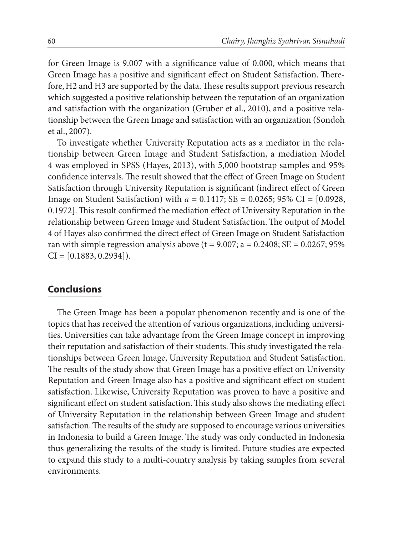for Green Image is 9.007 with a significance value of 0.000, which means that Green Image has a positive and significant effect on Student Satisfaction. Therefore, H2 and H3 are supported by the data. These results support previous research which suggested a positive relationship between the reputation of an organization and satisfaction with the organization (Gruber et al., 2010), and a positive relationship between the Green Image and satisfaction with an organization (Sondoh et al., 2007).

To investigate whether University Reputation acts as a mediator in the relationship between Green Image and Student Satisfaction, a mediation Model 4 was employed in SPSS (Hayes, 2013), with 5,000 bootstrap samples and 95% confidence intervals. The result showed that the effect of Green Image on Student Satisfaction through University Reputation is significant (indirect effect of Green Image on Student Satisfaction) with *a* = 0.1417; SE = 0.0265; 95% CI = [0.0928, 0.1972]. This result confirmed the mediation effect of University Reputation in the relationship between Green Image and Student Satisfaction. The output of Model 4 of Hayes also confirmed the direct effect of Green Image on Student Satisfaction ran with simple regression analysis above  $(t = 9.007; a = 0.2408; SE = 0.0267; 95\%$  $CI = [0.1883, 0.2934]$ .

# **Conclusions**

The Green Image has been a popular phenomenon recently and is one of the topics that has received the attention of various organizations, including universities. Universities can take advantage from the Green Image concept in improving their reputation and satisfaction of their students. This study investigated the relationships between Green Image, University Reputation and Student Satisfaction. The results of the study show that Green Image has a positive effect on University Reputation and Green Image also has a positive and significant effect on student satisfaction. Likewise, University Reputation was proven to have a positive and significant effect on student satisfaction. This study also shows the mediating effect of University Reputation in the relationship between Green Image and student satisfaction. The results of the study are supposed to encourage various universities in Indonesia to build a Green Image. The study was only conducted in Indonesia thus generalizing the results of the study is limited. Future studies are expected to expand this study to a multi-country analysis by taking samples from several environments.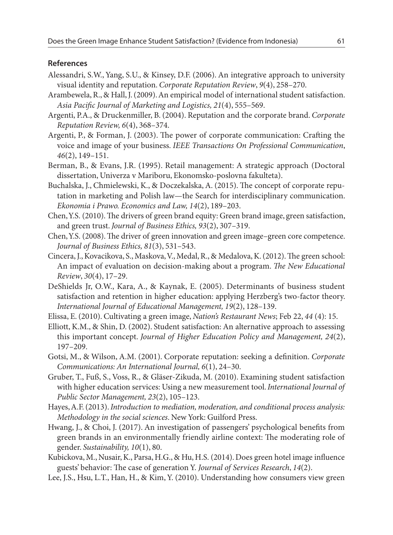#### **References**

- Alessandri, S.W., Yang, S.U., & Kinsey, D.F. (2006). An integrative approach to university visual identity and reputation. *Corporate Reputation Review*, *9*(4), 258–270.
- Arambewela, R., & Hall, J. (2009). An empirical model of international student satisfaction. *Asia Pacific Journal of Marketing and Logistics, 21*(4), 555–569.
- Argenti, P.A., & Druckenmiller, B. (2004). Reputation and the corporate brand. *Corporate Reputation Review, 6*(4), 368–374.
- Argenti, P., & Forman, J. (2003). The power of corporate communication: Crafting the voice and image of your business. *IEEE Transactions On Professional Communication*, *46*(2), 149–151.
- Berman, B., & Evans, J.R. (1995). Retail management: A strategic approach (Doctoral dissertation, Univerza v Mariboru, Ekonomsko-poslovna fakulteta).
- Buchalska, J., Chmielewski, K., & Doczekalska, A. (2015). The concept of corporate reputation in marketing and Polish law—the Search for interdisciplinary communication. *Ekonomia i Prawo. Economics and Law, 14*(2), 189–203.
- Chen, Y.S. (2010). The drivers of green brand equity: Green brand image, green satisfaction, and green trust. *Journal of Business Ethics, 93*(2), 307–319.
- Chen, Y.S. (2008). The driver of green innovation and green image–green core competence. *Journal of Business Ethics, 81*(3), 531–543.
- Cincera, J., Kovacikova, S., Maskova, V., Medal, R., & Medalova, K. (2012). The green school: An impact of evaluation on decision-making about a program. *The New Educational Review*, *30*(4), 17–29.
- DeShields Jr, O.W., Kara, A., & Kaynak, E. (2005). Determinants of business student satisfaction and retention in higher education: applying Herzberg's two-factor theory. *International Journal of Educational Management, 19*(2), 128–139.
- Elissa, E. (2010). Cultivating a green image, *Nation's Restaurant News*; Feb 22, *44* (4): 15.
- Elliott, K.M., & Shin, D. (2002). Student satisfaction: An alternative approach to assessing this important concept. *Journal of Higher Education Policy and Management, 24*(2), 197–209.
- Gotsi, M., & Wilson, A.M. (2001). Corporate reputation: seeking a definition. *Corporate Communications: An International Journal, 6*(1), 24–30.
- Gruber, T., Fuß, S., Voss, R., & Gläser-Zikuda, M. (2010). Examining student satisfaction with higher education services: Using a new measurement tool. *International Journal of Public Sector Management, 23*(2), 105–123.
- Hayes, A.F. (2013). *Introduction to mediation, moderation, and conditional process analysis: Methodology in the social sciences*. New York: Guilford Press.
- Hwang, J., & Choi, J. (2017). An investigation of passengers' psychological benefits from green brands in an environmentally friendly airline context: The moderating role of gender. *Sustainability, 10*(1), 80.
- Kubickova, M., Nusair, K., Parsa, H.G., & Hu, H.S. (2014). Does green hotel image influence guests' behavior: The case of generation Y. *Journal of Services Research*, *14*(2).
- Lee, J.S., Hsu, L.T., Han, H., & Kim, Y. (2010). Understanding how consumers view green